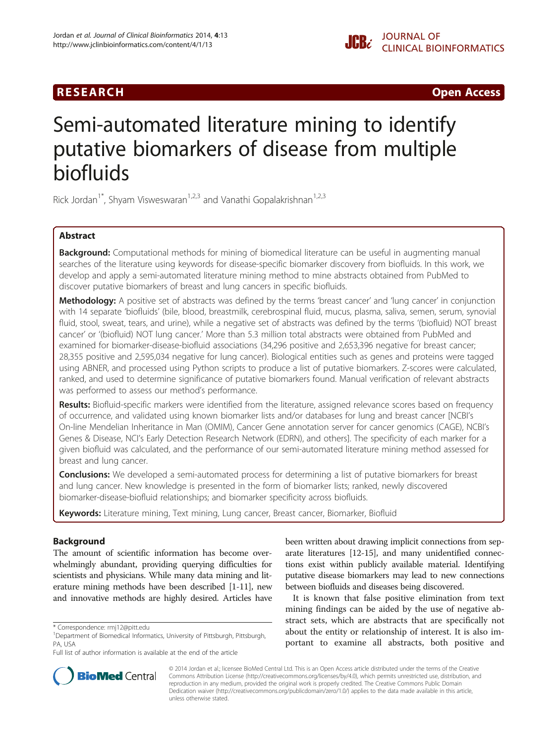R E S EAR CH Open Access

# Semi-automated literature mining to identify putative biomarkers of disease from multiple biofluids

Rick Jordan<sup>1\*</sup>, Shyam Visweswaran<sup>1,2,3</sup> and Vanathi Gopalakrishnan<sup>1,2,3</sup>

# Abstract

Background: Computational methods for mining of biomedical literature can be useful in augmenting manual searches of the literature using keywords for disease-specific biomarker discovery from biofluids. In this work, we develop and apply a semi-automated literature mining method to mine abstracts obtained from PubMed to discover putative biomarkers of breast and lung cancers in specific biofluids.

Methodology: A positive set of abstracts was defined by the terms 'breast cancer' and 'lung cancer' in conjunction with 14 separate 'biofluids' (bile, blood, breastmilk, cerebrospinal fluid, mucus, plasma, saliva, semen, serum, synovial fluid, stool, sweat, tears, and urine), while a negative set of abstracts was defined by the terms '(biofluid) NOT breast cancer' or '(biofluid) NOT lung cancer.' More than 5.3 million total abstracts were obtained from PubMed and examined for biomarker-disease-biofluid associations (34,296 positive and 2,653,396 negative for breast cancer; 28,355 positive and 2,595,034 negative for lung cancer). Biological entities such as genes and proteins were tagged using ABNER, and processed using Python scripts to produce a list of putative biomarkers. Z-scores were calculated, ranked, and used to determine significance of putative biomarkers found. Manual verification of relevant abstracts was performed to assess our method's performance.

Results: Biofluid-specific markers were identified from the literature, assigned relevance scores based on frequency of occurrence, and validated using known biomarker lists and/or databases for lung and breast cancer [NCBI's On-line Mendelian Inheritance in Man (OMIM), Cancer Gene annotation server for cancer genomics (CAGE), NCBI's Genes & Disease, NCI's Early Detection Research Network (EDRN), and others]. The specificity of each marker for a given biofluid was calculated, and the performance of our semi-automated literature mining method assessed for breast and lung cancer.

**Conclusions:** We developed a semi-automated process for determining a list of putative biomarkers for breast and lung cancer. New knowledge is presented in the form of biomarker lists; ranked, newly discovered biomarker-disease-biofluid relationships; and biomarker specificity across biofluids.

Keywords: Literature mining, Text mining, Lung cancer, Breast cancer, Biomarker, Biofluid

# Background

The amount of scientific information has become overwhelmingly abundant, providing querying difficulties for scientists and physicians. While many data mining and literature mining methods have been described [[1](#page-7-0)-[11](#page-7-0)], new and innovative methods are highly desired. Articles have been written about drawing implicit connections from separate literatures [\[12-15\]](#page-7-0), and many unidentified connections exist within publicly available material. Identifying putative disease biomarkers may lead to new connections between biofluids and diseases being discovered.

It is known that false positive elimination from text mining findings can be aided by the use of negative abstract sets, which are abstracts that are specifically not about the entity or relationship of interest. It is also important to examine all abstracts, both positive and



© 2014 Jordan et al.; licensee BioMed Central Ltd. This is an Open Access article distributed under the terms of the Creative Commons Attribution License [\(http://creativecommons.org/licenses/by/4.0\)](http://creativecommons.org/licenses/by/4.0), which permits unrestricted use, distribution, and reproduction in any medium, provided the original work is properly credited. The Creative Commons Public Domain Dedication waiver [\(http://creativecommons.org/publicdomain/zero/1.0/](http://creativecommons.org/publicdomain/zero/1.0/)) applies to the data made available in this article, unless otherwise stated.

<sup>\*</sup> Correspondence: [rmj12@pitt.edu](mailto:rmj12@pitt.edu) <sup>1</sup>

<sup>&</sup>lt;sup>1</sup>Department of Biomedical Informatics, University of Pittsburgh, Pittsburgh, PA, USA

Full list of author information is available at the end of the article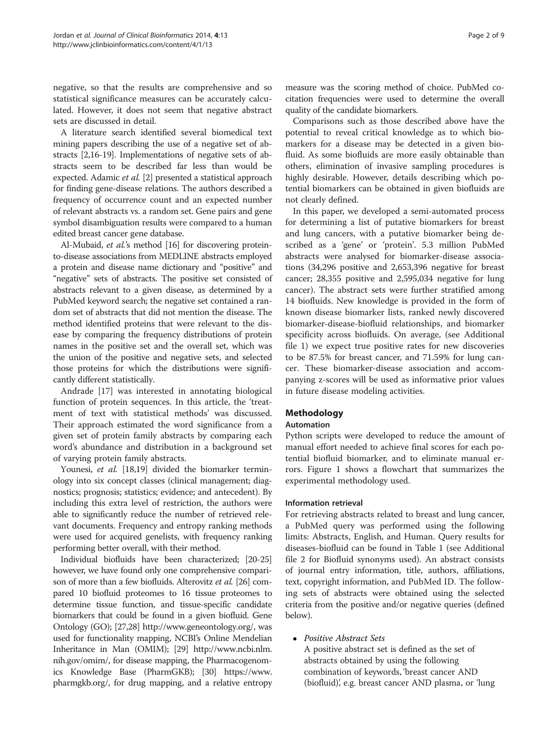negative, so that the results are comprehensive and so statistical significance measures can be accurately calculated. However, it does not seem that negative abstract sets are discussed in detail.

A literature search identified several biomedical text mining papers describing the use of a negative set of abstracts [\[2,16-19\]](#page-7-0). Implementations of negative sets of abstracts seem to be described far less than would be expected. Adamic et al. [\[2](#page-7-0)] presented a statistical approach for finding gene-disease relations. The authors described a frequency of occurrence count and an expected number of relevant abstracts vs. a random set. Gene pairs and gene symbol disambiguation results were compared to a human edited breast cancer gene database.

Al-Mubaid, *et al.*'s method [\[16\]](#page-7-0) for discovering proteinto-disease associations from MEDLINE abstracts employed a protein and disease name dictionary and "positive" and "negative" sets of abstracts. The positive set consisted of abstracts relevant to a given disease, as determined by a PubMed keyword search; the negative set contained a random set of abstracts that did not mention the disease. The method identified proteins that were relevant to the disease by comparing the frequency distributions of protein names in the positive set and the overall set, which was the union of the positive and negative sets, and selected those proteins for which the distributions were significantly different statistically.

Andrade [[17\]](#page-7-0) was interested in annotating biological function of protein sequences. In this article, the 'treatment of text with statistical methods' was discussed. Their approach estimated the word significance from a given set of protein family abstracts by comparing each word's abundance and distribution in a background set of varying protein family abstracts.

Younesi, et al. [[18,19\]](#page-7-0) divided the biomarker terminology into six concept classes (clinical management; diagnostics; prognosis; statistics; evidence; and antecedent). By including this extra level of restriction, the authors were able to significantly reduce the number of retrieved relevant documents. Frequency and entropy ranking methods were used for acquired genelists, with frequency ranking performing better overall, with their method.

Individual biofluids have been characterized; [\[20](#page-7-0)-[25](#page-8-0)] however, we have found only one comprehensive comparison of more than a few biofluids. Alterovitz et al. [[26](#page-8-0)] compared 10 biofluid proteomes to 16 tissue proteomes to determine tissue function, and tissue-specific candidate biomarkers that could be found in a given biofluid. Gene Ontology (GO); [\[27,28](#page-8-0)] [http://www.geneontology.org/,](http://www.geneontology.org/) was used for functionality mapping, NCBI's Online Mendelian Inheritance in Man (OMIM); [[29](#page-8-0)] [http://www.ncbi.nlm.](http://www.ncbi.nlm.nih.gov/omim/) [nih.gov/omim/,](http://www.ncbi.nlm.nih.gov/omim/) for disease mapping, the Pharmacogenomics Knowledge Base (PharmGKB); [[30](#page-8-0)] [https://www.](https://www.pharmgkb.org/) [pharmgkb.org/](https://www.pharmgkb.org/), for drug mapping, and a relative entropy measure was the scoring method of choice. PubMed cocitation frequencies were used to determine the overall quality of the candidate biomarkers.

Comparisons such as those described above have the potential to reveal critical knowledge as to which biomarkers for a disease may be detected in a given biofluid. As some biofluids are more easily obtainable than others, elimination of invasive sampling procedures is highly desirable. However, details describing which potential biomarkers can be obtained in given biofluids are not clearly defined.

In this paper, we developed a semi-automated process for determining a list of putative biomarkers for breast and lung cancers, with a putative biomarker being described as a 'gene' or 'protein'. 5.3 million PubMed abstracts were analysed for biomarker-disease associations (34,296 positive and 2,653,396 negative for breast cancer; 28,355 positive and 2,595,034 negative for lung cancer). The abstract sets were further stratified among 14 biofluids. New knowledge is provided in the form of known disease biomarker lists, ranked newly discovered biomarker-disease-biofluid relationships, and biomarker specificity across biofluids. On average, (see Additional file [1\)](#page-7-0) we expect true positive rates for new discoveries to be 87.5% for breast cancer, and 71.59% for lung cancer. These biomarker-disease association and accompanying z-scores will be used as informative prior values in future disease modeling activities.

# Methodology

#### Automation

Python scripts were developed to reduce the amount of manual effort needed to achieve final scores for each potential biofluid biomarker, and to eliminate manual errors. Figure [1](#page-2-0) shows a flowchart that summarizes the experimental methodology used.

#### Information retrieval

For retrieving abstracts related to breast and lung cancer, a PubMed query was performed using the following limits: Abstracts, English, and Human. Query results for diseases-biofluid can be found in Table [1](#page-3-0) (see Additional file [2](#page-7-0) for Biofluid synonyms used). An abstract consists of journal entry information, title, authors, affiliations, text, copyright information, and PubMed ID. The following sets of abstracts were obtained using the selected criteria from the positive and/or negative queries (defined below).

Positive Abstract Sets

A positive abstract set is defined as the set of abstracts obtained by using the following combination of keywords, 'breast cancer AND (biofluid)', e.g. breast cancer AND plasma, or 'lung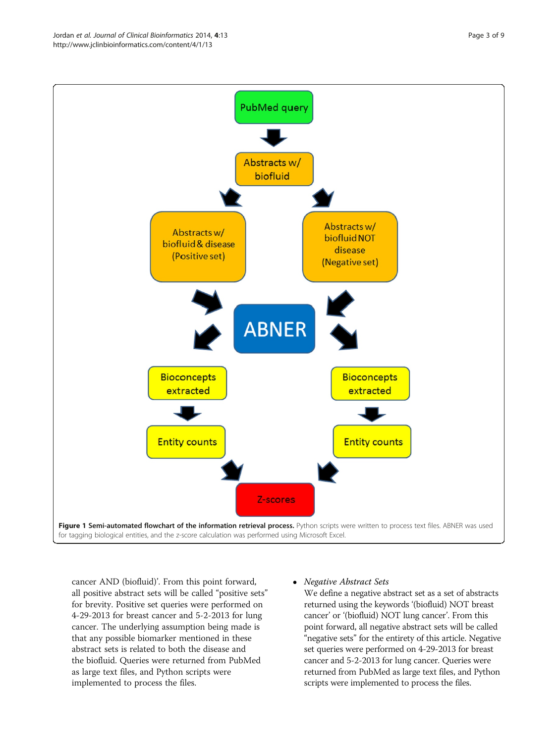<span id="page-2-0"></span>

cancer AND (biofluid)'. From this point forward, all positive abstract sets will be called "positive sets" for brevity. Positive set queries were performed on 4-29-2013 for breast cancer and 5-2-2013 for lung cancer. The underlying assumption being made is that any possible biomarker mentioned in these abstract sets is related to both the disease and the biofluid. Queries were returned from PubMed as large text files, and Python scripts were implemented to process the files.

# • Negative Abstract Sets

We define a negative abstract set as a set of abstracts returned using the keywords '(biofluid) NOT breast cancer' or '(biofluid) NOT lung cancer'. From this point forward, all negative abstract sets will be called "negative sets" for the entirety of this article. Negative set queries were performed on 4-29-2013 for breast cancer and 5-2-2013 for lung cancer. Queries were returned from PubMed as large text files, and Python scripts were implemented to process the files.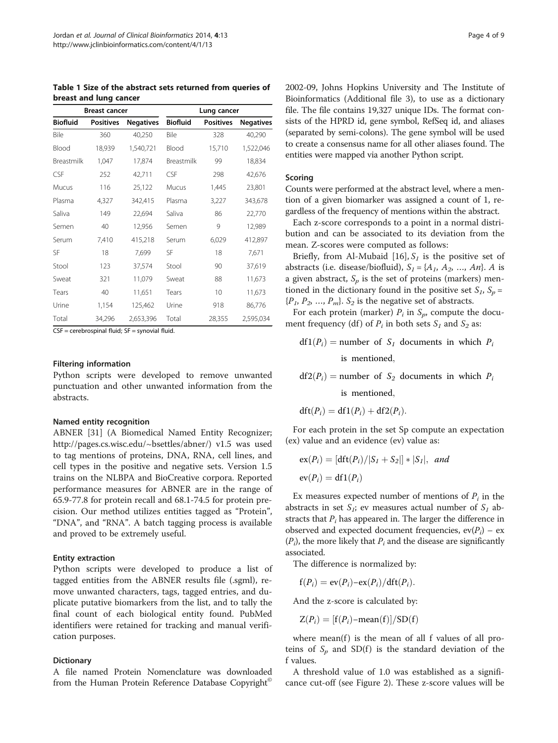<span id="page-3-0"></span>Table 1 Size of the abstract sets returned from queries of breast and lung cancer

|                   | <b>Breast cancer</b> |                  | Lung cancer     |                  |                  |
|-------------------|----------------------|------------------|-----------------|------------------|------------------|
| <b>Biofluid</b>   | <b>Positives</b>     | <b>Negatives</b> | <b>Biofluid</b> | <b>Positives</b> | <b>Negatives</b> |
| Bile              | 360                  | 40,250           | Bile            | 328              | 40,290           |
| Blood             | 18,939               | 1,540,721        | Blood           | 15,710           | 1,522,046        |
| <b>Breastmilk</b> | 1,047                | 17,874           | Breastmilk      | 99               | 18,834           |
| <b>CSF</b>        | 252                  | 42,711           | <b>CSF</b>      | 298              | 42,676           |
| Mucus             | 116                  | 25,122           | Mucus           | 1,445            | 23,801           |
| Plasma            | 4,327                | 342,415          | Plasma          | 3,227            | 343,678          |
| Saliva            | 149                  | 22,694           | Saliva          | 86               | 22,770           |
| Semen             | 40                   | 12,956           | Semen           | 9                | 12,989           |
| Serum             | 7,410                | 415,218          | Serum           | 6,029            | 412,897          |
| SF                | 18                   | 7,699            | SF              | 18               | 7,671            |
| Stool             | 123                  | 37,574           | Stool           | 90               | 37,619           |
| Sweat             | 321                  | 11,079           | Sweat           | 88               | 11,673           |
| Tears             | 40                   | 11,651           | Tears           | 10               | 11,673           |
| Urine             | 1,154                | 125,462          | Urine           | 918              | 86,776           |
| Total             | 34,296               | 2,653,396        | Total           | 28,355           | 2,595,034        |

CSF = cerebrospinal fluid; SF = synovial fluid.

#### Filtering information

Python scripts were developed to remove unwanted punctuation and other unwanted information from the abstracts.

#### Named entity recognition

ABNER [[31](#page-8-0)] (A Biomedical Named Entity Recognizer; [http://pages.cs.wisc.edu/~bsettles/abner/\)](http://pages.cs.wisc.edu/~bsettles/abner/) v1.5 was used to tag mentions of proteins, DNA, RNA, cell lines, and cell types in the positive and negative sets. Version 1.5 trains on the NLBPA and BioCreative corpora. Reported performance measures for ABNER are in the range of 65.9-77.8 for protein recall and 68.1-74.5 for protein precision. Our method utilizes entities tagged as "Protein", "DNA", and "RNA". A batch tagging process is available and proved to be extremely useful.

# Entity extraction

Python scripts were developed to produce a list of tagged entities from the ABNER results file (.sgml), remove unwanted characters, tags, tagged entries, and duplicate putative biomarkers from the list, and to tally the final count of each biological entity found. PubMed identifiers were retained for tracking and manual verification purposes.

#### **Dictionary**

A file named Protein Nomenclature was downloaded from the Human Protein Reference Database Copyright<sup>©</sup>

2002-09, Johns Hopkins University and The Institute of Bioinformatics (Additional file [3](#page-7-0)), to use as a dictionary file. The file contains 19,327 unique IDs. The format consists of the HPRD id, gene symbol, RefSeq id, and aliases (separated by semi-colons). The gene symbol will be used to create a consensus name for all other aliases found. The entities were mapped via another Python script.

#### Scoring

Counts were performed at the abstract level, where a mention of a given biomarker was assigned a count of 1, regardless of the frequency of mentions within the abstract.

Each z-score corresponds to a point in a normal distribution and can be associated to its deviation from the mean. Z-scores were computed as follows:

Briefly, from Al-Mubaid [[16\]](#page-7-0),  $S<sub>1</sub>$  is the positive set of abstracts (i.e. disease/biofluid),  $S_1 = \{A_1, A_2, ..., An\}$ . A is a given abstract,  $S_p$  is the set of proteins (markers) mentioned in the dictionary found in the positive set  $S_1$ ,  $S_p$  =  $\{P_1, P_2, ..., P_m\}$ .  $S_2$  is the negative set of abstracts.

For each protein (marker)  $P_i$  in  $S_p$ , compute the document frequency (df) of  $P_i$  in both sets  $S_i$  and  $S_2$  as:

 $df1(P_i)$  = number of  $S_i$  documents in which  $P_i$ is mentioned;

 $df2(P_i)$  = number of  $S_2$  documents in which  $P_i$ is mentioned;

$$
\mathrm{dft}(P_i)=\mathrm{dft}(P_i)+\mathrm{dft}(P_i).
$$

For each protein in the set Sp compute an expectation (ex) value and an evidence (ev) value as:

$$
ex(Pi) = [dft(Pi)/|S1 + S2|| * |S1|, and
$$
  

$$
ev(Pi) = df1(Pi)
$$

Ex measures expected number of mentions of  $P_i$  in the abstracts in set  $S_i$ ; ev measures actual number of  $S_i$  abstracts that  $P_i$  has appeared in. The larger the difference in observed and expected document frequencies,  $ev(P_i) - ex$  $(P_i)$ , the more likely that  $P_i$  and the disease are significantly associated.

The difference is normalized by:

$$
f(P_i) = ev(P_i) - ex(P_i)/dft(P_i).
$$

And the z-score is calculated by:

$$
Z(P_i) = [f(P_i)-mean(f)]/SD(f)
$$

where mean(f) is the mean of all f values of all proteins of  $S_p$  and SD(f) is the standard deviation of the f values.

A threshold value of 1.0 was established as a significance cut-off (see Figure [2](#page-4-0)). These z-score values will be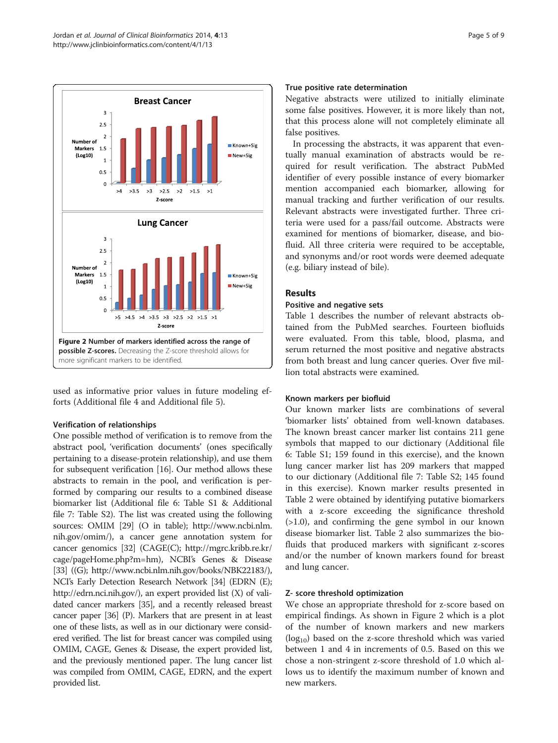

<span id="page-4-0"></span>

used as informative prior values in future modeling efforts (Additional file [4](#page-7-0) and Additional file [5](#page-7-0)).

#### Verification of relationships

One possible method of verification is to remove from the abstract pool, 'verification documents' (ones specifically pertaining to a disease-protein relationship), and use them for subsequent verification [\[16\]](#page-7-0). Our method allows these abstracts to remain in the pool, and verification is performed by comparing our results to a combined disease biomarker list (Additional file [6:](#page-7-0) Table S1 & Additional file [7](#page-7-0): Table S2). The list was created using the following sources: OMIM [\[29\]](#page-8-0) (O in table); [http://www.ncbi.nlm.](http://www.ncbi.nlm.nih.gov/omim/) [nih.gov/omim/](http://www.ncbi.nlm.nih.gov/omim/)), a cancer gene annotation system for cancer genomics [\[32\]](#page-8-0) (CAGE(C); [http://mgrc.kribb.re.kr/](http://mgrc.kribb.re.kr/cage/pageHome.php?m=hm) [cage/pageHome.php?m=hm](http://mgrc.kribb.re.kr/cage/pageHome.php?m=hm)), NCBI's Genes & Disease [[33](#page-8-0)] ((G);<http://www.ncbi.nlm.nih.gov/books/NBK22183/>), NCI's Early Detection Research Network [\[34\]](#page-8-0) (EDRN (E); <http://edrn.nci.nih.gov/>), an expert provided list (X) of validated cancer markers [[35](#page-8-0)], and a recently released breast cancer paper [[36\]](#page-8-0) (P). Markers that are present in at least one of these lists, as well as in our dictionary were considered verified. The list for breast cancer was compiled using OMIM, CAGE, Genes & Disease, the expert provided list, and the previously mentioned paper. The lung cancer list was compiled from OMIM, CAGE, EDRN, and the expert provided list.

### True positive rate determination

Negative abstracts were utilized to initially eliminate some false positives. However, it is more likely than not, that this process alone will not completely eliminate all false positives.

In processing the abstracts, it was apparent that eventually manual examination of abstracts would be required for result verification. The abstract PubMed identifier of every possible instance of every biomarker mention accompanied each biomarker, allowing for manual tracking and further verification of our results. Relevant abstracts were investigated further. Three criteria were used for a pass/fail outcome. Abstracts were examined for mentions of biomarker, disease, and biofluid. All three criteria were required to be acceptable, and synonyms and/or root words were deemed adequate (e.g. biliary instead of bile).

# Results

### Positive and negative sets

Table [1](#page-3-0) describes the number of relevant abstracts obtained from the PubMed searches. Fourteen biofluids were evaluated. From this table, blood, plasma, and serum returned the most positive and negative abstracts from both breast and lung cancer queries. Over five million total abstracts were examined.

#### Known markers per biofluid

Our known marker lists are combinations of several 'biomarker lists' obtained from well-known databases. The known breast cancer marker list contains 211 gene symbols that mapped to our dictionary (Additional file [6:](#page-7-0) Table S1; 159 found in this exercise), and the known lung cancer marker list has 209 markers that mapped to our dictionary (Additional file [7](#page-7-0): Table S2; 145 found in this exercise). Known marker results presented in Table [2](#page-5-0) were obtained by identifying putative biomarkers with a z-score exceeding the significance threshold (>1.0), and confirming the gene symbol in our known disease biomarker list. Table [2](#page-5-0) also summarizes the biofluids that produced markers with significant z-scores and/or the number of known markers found for breast and lung cancer.

#### Z- score threshold optimization

We chose an appropriate threshold for z-score based on empirical findings. As shown in Figure 2 which is a plot of the number of known markers and new markers  $(log_{10})$  based on the z-score threshold which was varied between 1 and 4 in increments of 0.5. Based on this we chose a non-stringent z-score threshold of 1.0 which allows us to identify the maximum number of known and new markers.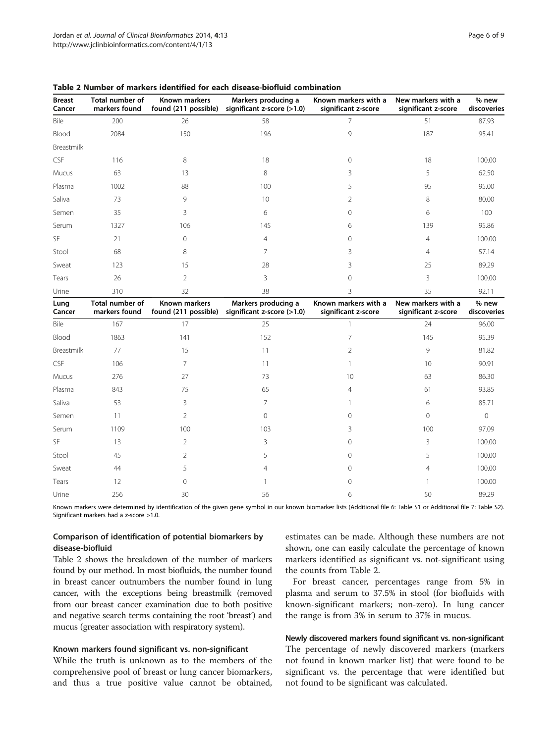| <b>Breast</b><br>Cancer | Total number of<br>markers found | Known markers<br>found (211 possible) | Markers producing a<br>significant z-score $($ >1.0)    | Known markers with a<br>significant z-score | New markers with a<br>significant z-score | $%$ new<br>discoveries |
|-------------------------|----------------------------------|---------------------------------------|---------------------------------------------------------|---------------------------------------------|-------------------------------------------|------------------------|
| Bile                    | 200                              | 26                                    | 58                                                      |                                             | 51                                        | 87.93                  |
| Blood                   | 2084                             | 150                                   | 196                                                     | 9                                           | 187                                       | 95.41                  |
| Breastmilk              |                                  |                                       |                                                         |                                             |                                           |                        |
| <b>CSF</b>              | 116                              | 8                                     | 18                                                      | $\Omega$                                    | 18                                        | 100.00                 |
| Mucus                   | 63                               | 13                                    | 8                                                       | 3                                           | 5                                         | 62.50                  |
| Plasma                  | 1002                             | 88                                    | 100                                                     | 5                                           | 95                                        | 95.00                  |
| Saliva                  | 73                               | 9                                     | 10                                                      | 2                                           | 8                                         | 80.00                  |
| Semen                   | 35                               | 3                                     | 6                                                       | $\Omega$                                    | 6                                         | 100                    |
| Serum                   | 1327                             | 106                                   | 145                                                     | 6                                           | 139                                       | 95.86                  |
| <b>SF</b>               | 21                               | 0                                     | 4                                                       | $\Omega$                                    | 4                                         | 100.00                 |
| Stool                   | 68                               | 8                                     |                                                         | 3                                           | 4                                         | 57.14                  |
| Sweat                   | 123                              | 15                                    | 28                                                      | 3                                           | 25                                        | 89.29                  |
| Tears                   | 26                               | $\mathfrak{D}$                        | 3                                                       | $\Omega$                                    | 3                                         | 100.00                 |
| Urine                   | 310                              | 32                                    | 38                                                      | 3                                           | 35                                        | 92.11                  |
| Lung<br>Cancer          | Total number of<br>markers found | Known markers<br>found (211 possible) | Markers producing a<br>significant $z$ -score $($ >1.0) | Known markers with a<br>significant z-score | New markers with a<br>significant z-score | % new<br>discoveries   |

<span id="page-5-0"></span>

| Table 2 Number of markers identified for each disease-biofluid combination |  |
|----------------------------------------------------------------------------|--|
|----------------------------------------------------------------------------|--|

| Lung<br>Cancer | Total number of<br>markers found | Known markers<br>found (211 possible) | Markers producing a<br>significant z-score (>1.0) | Known markers with a<br>significant z-score | New markers with a<br>significant z-score | $%$ new<br>discoveries |
|----------------|----------------------------------|---------------------------------------|---------------------------------------------------|---------------------------------------------|-------------------------------------------|------------------------|
| Bile           | 167                              | 17                                    | 25                                                |                                             | 24                                        | 96.00                  |
| Blood          | 1863                             | 141                                   | 152                                               |                                             | 145                                       | 95.39                  |
| Breastmilk     | 77                               | 15                                    |                                                   |                                             | 9                                         | 81.82                  |
| <b>CSF</b>     | 106                              |                                       | 11                                                |                                             | 10                                        | 90.91                  |
| Mucus          | 276                              | 27                                    | 73                                                | 10                                          | 63                                        | 86.30                  |
| Plasma         | 843                              | 75                                    | 65                                                | 4                                           | 61                                        | 93.85                  |
| Saliva         | 53                               | 3                                     |                                                   |                                             | 6                                         | 85.71                  |
| Semen          | 11                               | $\mathfrak{D}$                        | $\Omega$                                          |                                             | $\Omega$                                  | $\Omega$               |
| Serum          | 1109                             | 100                                   | 103                                               | 3                                           | 100                                       | 97.09                  |
| <b>SF</b>      | 13                               | 2                                     | 3                                                 |                                             | 3                                         | 100.00                 |
| Stool          | 45                               |                                       | 5                                                 |                                             | 5.                                        | 100.00                 |
| Sweat          | 44                               | 5                                     | 4                                                 |                                             | 4                                         | 100.00                 |
| Tears          | 12                               |                                       |                                                   |                                             |                                           | 100.00                 |
| Urine          | 256                              | 30                                    | 56                                                | 6                                           | 50                                        | 89.29                  |

Known markers were determined by identification of the given gene symbol in our known biomarker lists (Additional file [6](#page-7-0): Table S1 or Additional file [7:](#page-7-0) Table S2). Significant markers had a z-score >1.0.

# Comparison of identification of potential biomarkers by disease-biofluid

Table 2 shows the breakdown of the number of markers found by our method. In most biofluids, the number found in breast cancer outnumbers the number found in lung cancer, with the exceptions being breastmilk (removed from our breast cancer examination due to both positive and negative search terms containing the root 'breast') and mucus (greater association with respiratory system).

#### Known markers found significant vs. non-significant

While the truth is unknown as to the members of the comprehensive pool of breast or lung cancer biomarkers, and thus a true positive value cannot be obtained, estimates can be made. Although these numbers are not shown, one can easily calculate the percentage of known markers identified as significant vs. not-significant using the counts from Table 2.

For breast cancer, percentages range from 5% in plasma and serum to 37.5% in stool (for biofluids with known-significant markers; non-zero). In lung cancer the range is from 3% in serum to 37% in mucus.

Newly discovered markers found significant vs. non-significant The percentage of newly discovered markers (markers not found in known marker list) that were found to be significant vs. the percentage that were identified but not found to be significant was calculated.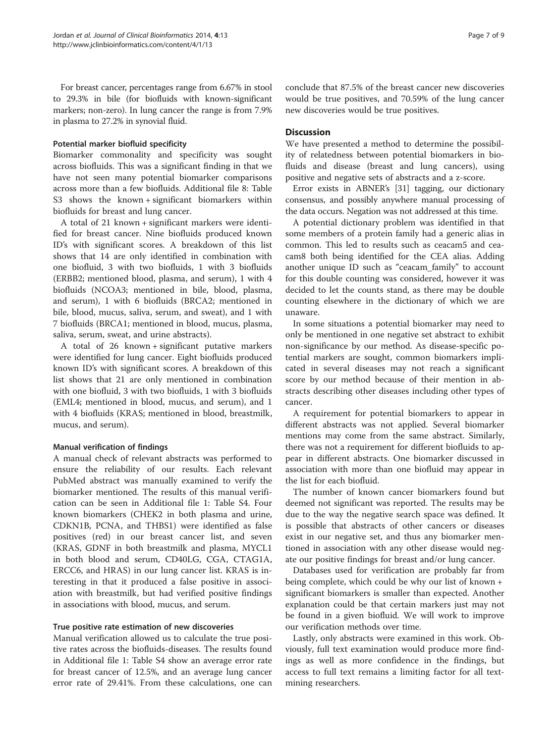For breast cancer, percentages range from 6.67% in stool to 29.3% in bile (for biofluids with known-significant markers; non-zero). In lung cancer the range is from 7.9% in plasma to 27.2% in synovial fluid.

### Potential marker biofluid specificity

Biomarker commonality and specificity was sought across biofluids. This was a significant finding in that we have not seen many potential biomarker comparisons across more than a few biofluids. Additional file [8](#page-7-0): Table S3 shows the known + significant biomarkers within biofluids for breast and lung cancer.

A total of 21 known + significant markers were identified for breast cancer. Nine biofluids produced known ID's with significant scores. A breakdown of this list shows that 14 are only identified in combination with one biofluid, 3 with two biofluids, 1 with 3 biofluids (ERBB2; mentioned blood, plasma, and serum), 1 with 4 biofluids (NCOA3; mentioned in bile, blood, plasma, and serum), 1 with 6 biofluids (BRCA2; mentioned in bile, blood, mucus, saliva, serum, and sweat), and 1 with 7 biofluids (BRCA1; mentioned in blood, mucus, plasma, saliva, serum, sweat, and urine abstracts).

A total of 26 known + significant putative markers were identified for lung cancer. Eight biofluids produced known ID's with significant scores. A breakdown of this list shows that 21 are only mentioned in combination with one biofluid, 3 with two biofluids, 1 with 3 biofluids (EML4; mentioned in blood, mucus, and serum), and 1 with 4 biofluids (KRAS; mentioned in blood, breastmilk, mucus, and serum).

# Manual verification of findings

A manual check of relevant abstracts was performed to ensure the reliability of our results. Each relevant PubMed abstract was manually examined to verify the biomarker mentioned. The results of this manual verification can be seen in Additional file [1](#page-7-0): Table S4. Four known biomarkers (CHEK2 in both plasma and urine, CDKN1B, PCNA, and THBS1) were identified as false positives (red) in our breast cancer list, and seven (KRAS, GDNF in both breastmilk and plasma, MYCL1 in both blood and serum, CD40LG, CGA, CTAG1A, ERCC6, and HRAS) in our lung cancer list. KRAS is interesting in that it produced a false positive in association with breastmilk, but had verified positive findings in associations with blood, mucus, and serum.

#### True positive rate estimation of new discoveries

Manual verification allowed us to calculate the true positive rates across the biofluids-diseases. The results found in Additional file [1](#page-7-0): Table S4 show an average error rate for breast cancer of 12.5%, and an average lung cancer error rate of 29.41%. From these calculations, one can

conclude that 87.5% of the breast cancer new discoveries would be true positives, and 70.59% of the lung cancer new discoveries would be true positives.

# **Discussion**

We have presented a method to determine the possibility of relatedness between potential biomarkers in biofluids and disease (breast and lung cancers), using positive and negative sets of abstracts and a z-score.

Error exists in ABNER's [[31](#page-8-0)] tagging, our dictionary consensus, and possibly anywhere manual processing of the data occurs. Negation was not addressed at this time.

A potential dictionary problem was identified in that some members of a protein family had a generic alias in common. This led to results such as ceacam5 and ceacam8 both being identified for the CEA alias. Adding another unique ID such as "ceacam\_family" to account for this double counting was considered, however it was decided to let the counts stand, as there may be double counting elsewhere in the dictionary of which we are unaware.

In some situations a potential biomarker may need to only be mentioned in one negative set abstract to exhibit non-significance by our method. As disease-specific potential markers are sought, common biomarkers implicated in several diseases may not reach a significant score by our method because of their mention in abstracts describing other diseases including other types of cancer.

A requirement for potential biomarkers to appear in different abstracts was not applied. Several biomarker mentions may come from the same abstract. Similarly, there was not a requirement for different biofluids to appear in different abstracts. One biomarker discussed in association with more than one biofluid may appear in the list for each biofluid.

The number of known cancer biomarkers found but deemed not significant was reported. The results may be due to the way the negative search space was defined. It is possible that abstracts of other cancers or diseases exist in our negative set, and thus any biomarker mentioned in association with any other disease would negate our positive findings for breast and/or lung cancer.

Databases used for verification are probably far from being complete, which could be why our list of known + significant biomarkers is smaller than expected. Another explanation could be that certain markers just may not be found in a given biofluid. We will work to improve our verification methods over time.

Lastly, only abstracts were examined in this work. Obviously, full text examination would produce more findings as well as more confidence in the findings, but access to full text remains a limiting factor for all textmining researchers.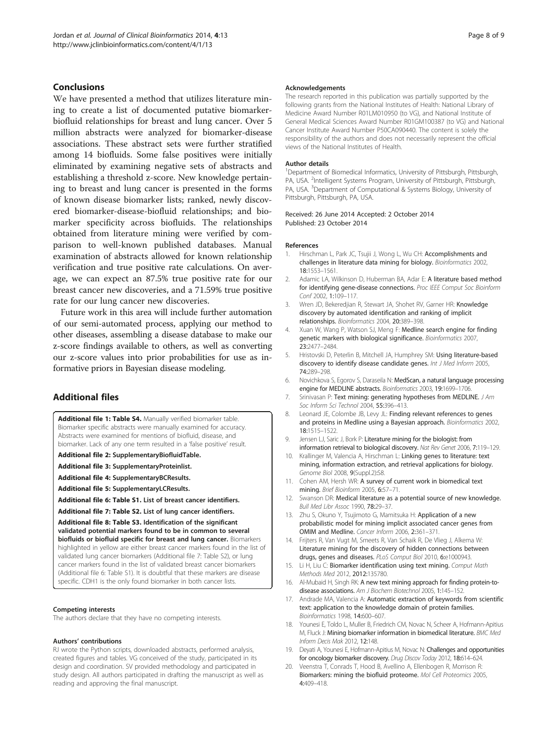### <span id="page-7-0"></span>Conclusions

We have presented a method that utilizes literature mining to create a list of documented putative biomarkerbiofluid relationships for breast and lung cancer. Over 5 million abstracts were analyzed for biomarker-disease associations. These abstract sets were further stratified among 14 biofluids. Some false positives were initially eliminated by examining negative sets of abstracts and establishing a threshold z-score. New knowledge pertaining to breast and lung cancer is presented in the forms of known disease biomarker lists; ranked, newly discovered biomarker-disease-biofluid relationships; and biomarker specificity across biofluids. The relationships obtained from literature mining were verified by comparison to well-known published databases. Manual examination of abstracts allowed for known relationship verification and true positive rate calculations. On average, we can expect an 87.5% true positive rate for our breast cancer new discoveries, and a 71.59% true positive rate for our lung cancer new discoveries.

Future work in this area will include further automation of our semi-automated process, applying our method to other diseases, assembling a disease database to make our z-score findings available to others, as well as converting our z-score values into prior probabilities for use as informative priors in Bayesian disease modeling.

# Additional files

[Additional file 1: Table S4.](http://www.biomedcentral.com/content/supplementary/2043-9113-4-13-S1.docx) Manually verified biomarker table. Biomarker specific abstracts were manually examined for accuracy. Abstracts were examined for mentions of biofluid, disease, and biomarker. Lack of any one term resulted in a 'false positive' result.

[Additional file 2:](http://www.biomedcentral.com/content/supplementary/2043-9113-4-13-S2.xlsx) SupplementaryBiofluidTable.

[Additional file 3:](http://www.biomedcentral.com/content/supplementary/2043-9113-4-13-S3.txt) SupplementaryProteinlist.

[Additional file 4:](http://www.biomedcentral.com/content/supplementary/2043-9113-4-13-S4.xlsx) SupplementaryBCResults.

[Additional file 5:](http://www.biomedcentral.com/content/supplementary/2043-9113-4-13-S5.xlsx) SupplementaryLCResults.

[Additional file 6: Table S1.](http://www.biomedcentral.com/content/supplementary/2043-9113-4-13-S6.docx) List of breast cancer identifiers.

[Additional file 7: Table S2.](http://www.biomedcentral.com/content/supplementary/2043-9113-4-13-S7.docx) List of lung cancer identifiers.

[Additional file 8: Table S3.](http://www.biomedcentral.com/content/supplementary/2043-9113-4-13-S8.docx) Identification of the significant validated potential markers found to be in common to several biofluids or biofluid specific for breast and lung cancer. Biomarkers highlighted in yellow are either breast cancer markers found in the list of validated lung cancer biomarkers (Additional file 7: Table S2), or lung cancer markers found in the list of validated breast cancer biomarkers (Additional file 6: Table S1). It is doubtful that these markers are disease specific. CDH1 is the only found biomarker in both cancer lists.

#### Competing interests

The authors declare that they have no competing interests.

#### Authors' contributions

RJ wrote the Python scripts, downloaded abstracts, performed analysis, created figures and tables. VG conceived of the study, participated in its design and coordination. SV provided methodology and participated in study design. All authors participated in drafting the manuscript as well as reading and approving the final manuscript.

#### Acknowledgements

The research reported in this publication was partially supported by the following grants from the National Institutes of Health: National Library of Medicine Award Number R01LM010950 (to VG), and National Institute of General Medical Sciences Award Number R01GM100387 (to VG) and National Cancer Institute Award Number P50CA090440. The content is solely the responsibility of the authors and does not necessarily represent the official views of the National Institutes of Health.

#### Author details

<sup>1</sup>Department of Biomedical Informatics, University of Pittsburgh, Pittsburgh, PA, USA. <sup>2</sup>Intelligent Systems Program, University of Pittsburgh, Pittsburgh, PA, USA. <sup>3</sup>Department of Computational & Systems Biology, University of Pittsburgh, Pittsburgh, PA, USA.

#### Received: 26 June 2014 Accepted: 2 October 2014 Published: 23 October 2014

#### References

- 1. Hirschman L, Park JC, Tsujii J, Wong L, Wu CH: Accomplishments and challenges in literature data mining for biology. Bioinformatics 2002, 18:1553–1561.
- 2. Adamic LA, Wilkinson D, Huberman BA, Adar E: A literature based method for identifying gene-disease connections. Proc IEEE Comput Soc Bioinform Conf 2002, 1:109–117.
- 3. Wren JD, Bekeredjian R, Stewart JA, Shohet RV, Garner HR: Knowledge discovery by automated identification and ranking of implicit relationships. Bioinformatics 2004, 20:389–398.
- 4. Xuan W, Wang P, Watson SJ, Meng F: Medline search engine for finding genetic markers with biological significance. Bioinformatics 2007, 23:2477–2484.
- 5. Hristovski D, Peterlin B, Mitchell JA, Humphrey SM: Using literature-based discovery to identify disease candidate genes. Int J Med Inform 2005, 74:289–298.
- 6. Novichkova S, Egorov S, Daraseila N: MedScan, a natural language processing engine for MEDLINE abstracts. Bioinformatics 2003, 19:1699–1706.
- 7. Srinivasan P: Text mining: generating hypotheses from MEDLINE. J Am Soc Inform Sci Technol 2004, 55:396-413.
- 8. Leonard JE, Colombe JB, Levy JL: Finding relevant references to genes and proteins in Medline using a Bayesian approach. Bioinformatics 2002, 18:1515–1522.
- 9. Jensen LJ, Saric J, Bork P: Literature mining for the biologist: from information retrieval to biological discovery. Nat Rev Genet 2006, 7:119–129.
- 10. Krallinger M, Valencia A, Hirschman L: Linking genes to literature: text mining, information extraction, and retrieval applications for biology. Genome Biol 2008, 9(Suppl.2):S8.
- 11. Cohen AM, Hersh WR: A survey of current work in biomedical text mining. Brief Bioinform 2005, 6:57-71.
- 12. Swanson DR: Medical literature as a potential source of new knowledge. Bull Med Libr Assoc 1990, 78:29–37.
- 13. Zhu S, Okuno Y, Tsujimoto G, Mamitsuka H: Application of a new probabilistic model for mining implicit associated cancer genes from OMIM and Medline. Cancer Inform 2006, 2:361–371.
- 14. Frijters R, Van Vugt M, Smeets R, Van Schaik R, De Vlieg J, Alkema W: Literature mining for the discovery of hidden connections between drugs, genes and diseases. PLoS Comput Biol 2010, 6:e1000943.
- 15. Li H, Liu C: Biomarker identification using text mining. Comput Math Methods Med 2012, 2012:135780.
- 16. Al-Mubaid H, Singh RK: A new text mining approach for finding protein-todisease associations. Am J Biochem Biotechnol 2005, 1:145-152.
- 17. Andrade MA, Valencia A: Automatic extraction of keywords from scientific text: application to the knowledge domain of protein families. Bioinformatics 1998, 14:600–607.
- 18. Younesi E, Toldo L, Muller B, Friedrich CM, Novac N, Scheer A, Hofmann-Apitius M, Fluck J: Mining biomarker information in biomedical literature. BMC Med Inform Decis Mak 2012, 12:148.
- 19. Deyati A, Younesi E, Hofmann-Apitius M, Novac N: Challenges and opportunities for oncology biomarker discovery. Drug Discov Today 2012, 18:614–624.
- 20. Veenstra T, Conrads T, Hood B, Avellino A, Ellenbogen R, Morrison R: Biomarkers: mining the biofluid proteome. Mol Cell Proteomics 2005, 4:409–418.